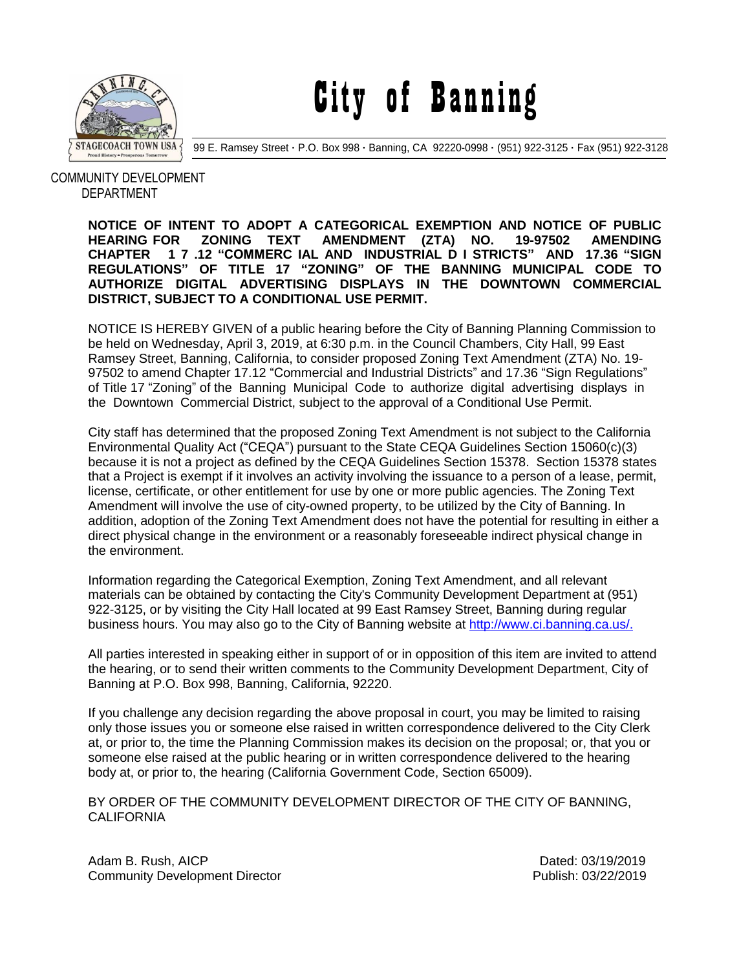

City of Banning

99 E. Ramsey Street **·** P.O. Box 998 **·** Banning, CA 92220-0998 **·** (951) 922-3125 **·** Fax (951) 922-3128

## COMMUNITY DEVELOPMENT DEPARTMENT

**NOTICE OF INTENT TO ADOPT A CATEGORICAL EXEMPTION AND NOTICE OF PUBLIC HEARING FOR ZONING TEXT AMENDMENT (ZTA) NO. 19-97502 AMENDING CHAPTER 1 7 .12 "COMMERC IAL AND INDUSTRIAL D I STRICTS" AND 17.36 "SIGN REGULATIONS" OF TITLE 17 "ZONING" OF THE BANNING MUNICIPAL CODE TO AUTHORIZE DIGITAL ADVERTISING DISPLAYS IN THE DOWNTOWN COMMERCIAL DISTRICT, SUBJECT TO A CONDITIONAL USE PERMIT.**

NOTICE IS HEREBY GIVEN of a public hearing before the City of Banning Planning Commission to be held on Wednesday, April 3, 2019, at 6:30 p.m. in the Council Chambers, City Hall, 99 East Ramsey Street, Banning, California, to consider proposed Zoning Text Amendment (ZTA) No. 19- 97502 to amend Chapter 17.12 "Commercial and Industrial Districts" and 17.36 "Sign Regulations" of Title 17 "Zoning" of the Banning Municipal Code to authorize digital advertising displays in the Downtown Commercial District, subject to the approval of a Conditional Use Permit.

City staff has determined that the proposed Zoning Text Amendment is not subject to the California Environmental Quality Act ("CEQA") pursuant to the State CEQA Guidelines Section 15060(c)(3) because it is not a project as defined by the CEQA Guidelines Section 15378. Section 15378 states that a Project is exempt if it involves an activity involving the issuance to a person of a lease, permit, license, certificate, or other entitlement for use by one or more public agencies. The Zoning Text Amendment will involve the use of city-owned property, to be utilized by the City of Banning. In addition, adoption of the Zoning Text Amendment does not have the potential for resulting in either a direct physical change in the environment or a reasonably foreseeable indirect physical change in the environment.

Information regarding the Categorical Exemption, Zoning Text Amendment, and all relevant materials can be obtained by contacting the City's Community Development Department at (951) 922-3125, or by visiting the City Hall located at 99 East Ramsey Street, Banning during regular business hours. You may also go to the City of Banning website at [http://www.ci.banning.ca.us/.](http://www.ci.banning.ca.us/)

All parties interested in speaking either in support of or in opposition of this item are invited to attend the hearing, or to send their written comments to the Community Development Department, City of Banning at P.O. Box 998, Banning, California, 92220.

If you challenge any decision regarding the above proposal in court, you may be limited to raising only those issues you or someone else raised in written correspondence delivered to the City Clerk at, or prior to, the time the Planning Commission makes its decision on the proposal; or, that you or someone else raised at the public hearing or in written correspondence delivered to the hearing body at, or prior to, the hearing (California Government Code, Section 65009).

BY ORDER OF THE COMMUNITY DEVELOPMENT DIRECTOR OF THE CITY OF BANNING, **CALIFORNIA** 

Adam B. Rush, AICP **Dated: 03/19/2019** Community Development Director **Publish: 03/22/2019** Publish: 03/22/2019